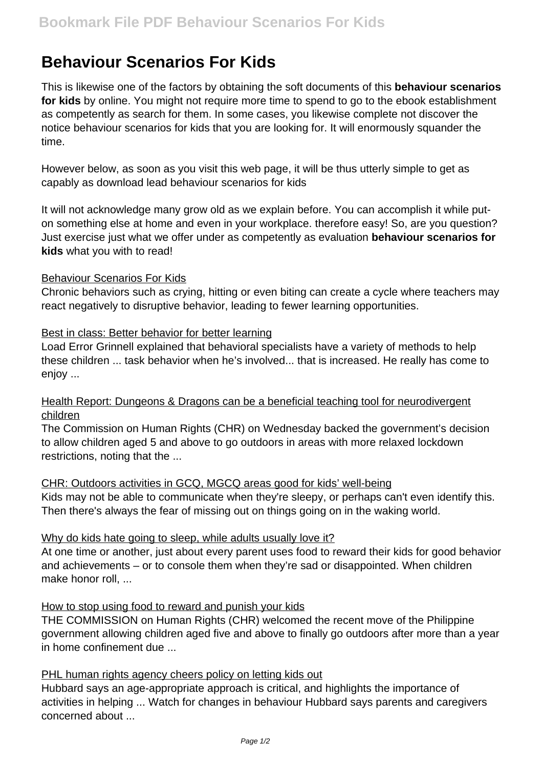# **Behaviour Scenarios For Kids**

This is likewise one of the factors by obtaining the soft documents of this **behaviour scenarios for kids** by online. You might not require more time to spend to go to the ebook establishment as competently as search for them. In some cases, you likewise complete not discover the notice behaviour scenarios for kids that you are looking for. It will enormously squander the time.

However below, as soon as you visit this web page, it will be thus utterly simple to get as capably as download lead behaviour scenarios for kids

It will not acknowledge many grow old as we explain before. You can accomplish it while puton something else at home and even in your workplace. therefore easy! So, are you question? Just exercise just what we offer under as competently as evaluation **behaviour scenarios for kids** what you with to read!

## Behaviour Scenarios For Kids

Chronic behaviors such as crying, hitting or even biting can create a cycle where teachers may react negatively to disruptive behavior, leading to fewer learning opportunities.

## Best in class: Better behavior for better learning

Load Error Grinnell explained that behavioral specialists have a variety of methods to help these children ... task behavior when he's involved... that is increased. He really has come to enjov ...

Health Report: Dungeons & Dragons can be a beneficial teaching tool for neurodivergent children

The Commission on Human Rights (CHR) on Wednesday backed the government's decision to allow children aged 5 and above to go outdoors in areas with more relaxed lockdown restrictions, noting that the ...

#### CHR: Outdoors activities in GCQ, MGCQ areas good for kids' well-being

Kids may not be able to communicate when they're sleepy, or perhaps can't even identify this. Then there's always the fear of missing out on things going on in the waking world.

#### Why do kids hate going to sleep, while adults usually love it?

At one time or another, just about every parent uses food to reward their kids for good behavior and achievements – or to console them when they're sad or disappointed. When children make honor roll, ...

# How to stop using food to reward and punish your kids

THE COMMISSION on Human Rights (CHR) welcomed the recent move of the Philippine government allowing children aged five and above to finally go outdoors after more than a year in home confinement due ...

#### PHL human rights agency cheers policy on letting kids out

Hubbard says an age-appropriate approach is critical, and highlights the importance of activities in helping ... Watch for changes in behaviour Hubbard says parents and caregivers concerned about ...